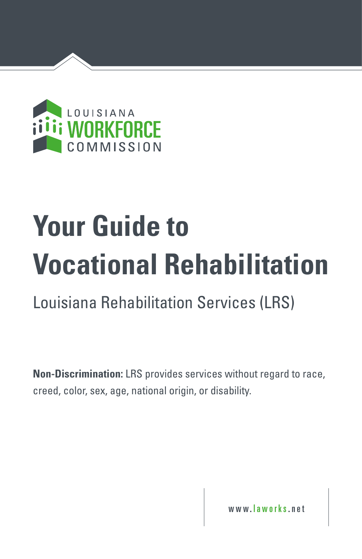

# **Your Guide to Vocational Rehabilitation**

Louisiana Rehabilitation Services (LRS)

**Non-Discrimination:** LRS provides services without regard to race, creed, color, sex, age, national origin, or disability.

www. laworks .net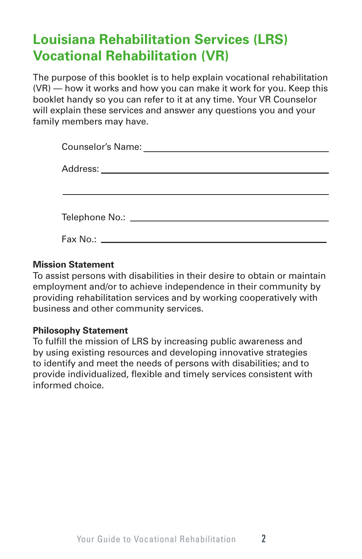# **Louisiana Rehabilitation Services (LRS) Vocational Rehabilitation (VR)**

The purpose of this booklet is to help explain vocational rehabilitation (VR) — how it works and how you can make it work for you. Keep this booklet handy so you can refer to it at any time. Your VR Counselor will explain these services and answer any questions you and your family members may have.

## **Mission Statement**

To assist persons with disabilities in their desire to obtain or maintain employment and/or to achieve independence in their community by providing rehabilitation services and by working cooperatively with business and other community services.

## **Philosophy Statement**

To fulfill the mission of LRS by increasing public awareness and by using existing resources and developing innovative strategies to identify and meet the needs of persons with disabilities; and to provide individualized, flexible and timely services consistent with informed choice.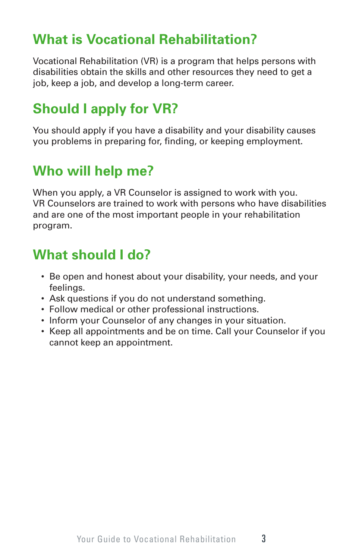# **What is Vocational Rehabilitation?**

Vocational Rehabilitation (VR) is a program that helps persons with disabilities obtain the skills and other resources they need to get a job, keep a job, and develop a long-term career.

# **Should I apply for VR?**

You should apply if you have a disability and your disability causes you problems in preparing for, finding, or keeping employment.

# **Who will help me?**

When you apply, a VR Counselor is assigned to work with you. VR Counselors are trained to work with persons who have disabilities and are one of the most important people in your rehabilitation program.

# **What should I do?**

- Be open and honest about your disability, your needs, and your feelings.
- Ask questions if you do not understand something.
- Follow medical or other professional instructions.
- Inform your Counselor of any changes in your situation.
- Keep all appointments and be on time. Call your Counselor if you cannot keep an appointment.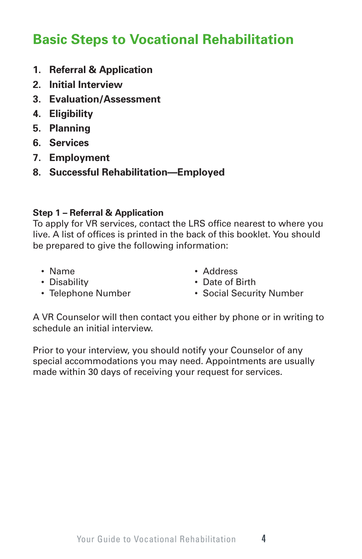# **Basic Steps to Vocational Rehabilitation**

- **1. Referral & Application**
- **2. Initial Interview**
- **3. Evaluation/Assessment**
- **4. Eligibility**
- **5. Planning**
- **6. Services**
- **7. Employment**
- **8. Successful Rehabilitation—Employed**

## **Step 1 – Referral & Application**

To apply for VR services, contact the LRS office nearest to where you live. A list of offices is printed in the back of this booklet. You should be prepared to give the following information:

- Name
- Disability
- Telephone Number
- Address
- Date of Birth
- Social Security Number

A VR Counselor will then contact you either by phone or in writing to schedule an initial interview.

Prior to your interview, you should notify your Counselor of any special accommodations you may need. Appointments are usually made within 30 days of receiving your request for services.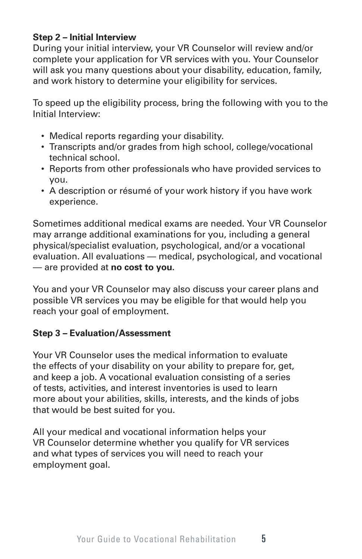## **Step 2 – Initial Interview**

During your initial interview, your VR Counselor will review and/or complete your application for VR services with you. Your Counselor will ask you many questions about your disability, education, family, and work history to determine your eligibility for services.

To speed up the eligibility process, bring the following with you to the Initial Interview:

- Medical reports regarding your disability.
- Transcripts and/or grades from high school, college/vocational technical school.
- Reports from other professionals who have provided services to you.
- A description or résumé of your work history if you have work experience.

Sometimes additional medical exams are needed. Your VR Counselor may arrange additional examinations for you, including a general physical/specialist evaluation, psychological, and/or a vocational evaluation. All evaluations — medical, psychological, and vocational — are provided at **no cost to you.**

You and your VR Counselor may also discuss your career plans and possible VR services you may be eligible for that would help you reach your goal of employment.

# **Step 3 – Evaluation/Assessment**

Your VR Counselor uses the medical information to evaluate the effects of your disability on your ability to prepare for, get, and keep a job. A vocational evaluation consisting of a series of tests, activities, and interest inventories is used to learn more about your abilities, skills, interests, and the kinds of jobs that would be best suited for you.

All your medical and vocational information helps your VR Counselor determine whether you qualify for VR services and what types of services you will need to reach your employment goal.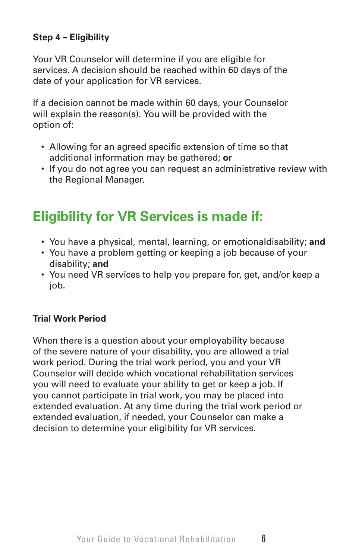# **Step 4 – Eligibility**

Your VR Counselor will determine if you are eligible for services. A decision should be reached within 60 days of the date of your application for VR services.

If a decision cannot be made within 60 days, your Counselor will explain the reason(s). You will be provided with the option of:

- Allowing for an agreed specific extension of time so that additional information may be gathered; **or**
- If you do not agree you can request an administrative review with the Regional Manager.

# **Eligibility for VR Services is made if:**

- You have a physical, mental, learning, or emotionaldisability; **and**
- You have a problem getting or keeping a job because of your disability; **and**
- You need VR services to help you prepare for, get, and/or keep a job.

## **Trial Work Period**

When there is a question about your employability because of the severe nature of your disability, you are allowed a trial work period. During the trial work period, you and your VR Counselor will decide which vocational rehabilitation services you will need to evaluate your ability to get or keep a job. If you cannot participate in trial work, you may be placed into extended evaluation. At any time during the trial work period or extended evaluation, if needed, your Counselor can make a decision to determine your eligibility for VR services.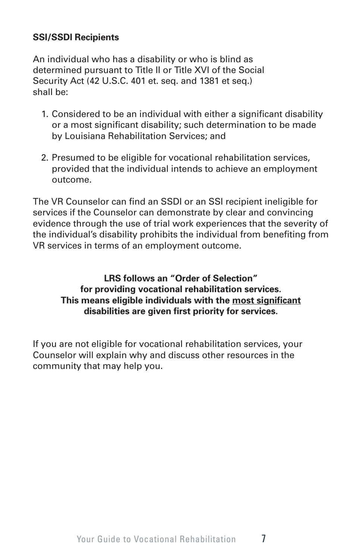## **SSI/SSDI Recipients**

An individual who has a disability or who is blind as determined pursuant to Title II or Title XVI of the Social Security Act (42 U.S.C. 401 et. seq. and 1381 et seq.) shall be:

- 1. Considered to be an individual with either a significant disability or a most significant disability; such determination to be made by Louisiana Rehabilitation Services; and
- 2. Presumed to be eligible for vocational rehabilitation services, provided that the individual intends to achieve an employment outcome.

The VR Counselor can find an SSDI or an SSI recipient ineligible for services if the Counselor can demonstrate by clear and convincing evidence through the use of trial work experiences that the severity of the individual's disability prohibits the individual from benefiting from VR services in terms of an employment outcome.

## **LRS follows an "Order of Selection" for providing vocational rehabilitation services. This means eligible individuals with the most significant disabilities are given first priority for services.**

If you are not eligible for vocational rehabilitation services, your Counselor will explain why and discuss other resources in the community that may help you.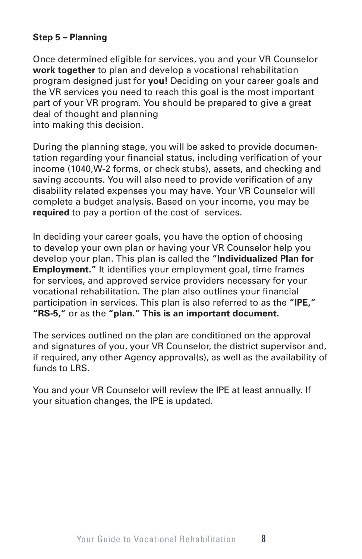# **Step 5 – Planning**

Once determined eligible for services, you and your VR Counselor **work together** to plan and develop a vocational rehabilitation program designed just for **you!** Deciding on your career goals and the VR services you need to reach this goal is the most important part of your VR program. You should be prepared to give a great deal of thought and planning into making this decision.

During the planning stage, you will be asked to provide documentation regarding your financial status, including verification of your income (1040,W-2 forms, or check stubs), assets, and checking and saving accounts. You will also need to provide verification of any disability related expenses you may have. Your VR Counselor will complete a budget analysis. Based on your income, you may be **required** to pay a portion of the cost of services.

In deciding your career goals, you have the option of choosing to develop your own plan or having your VR Counselor help you develop your plan. This plan is called the **"Individualized Plan for Employment."** It identifies your employment goal, time frames for services, and approved service providers necessary for your vocational rehabilitation. The plan also outlines your financial participation in services. This plan is also referred to as the **"IPE," "RS-5,"** or as the **"plan." This is an important document.**

The services outlined on the plan are conditioned on the approval and signatures of you, your VR Counselor, the district supervisor and, if required, any other Agency approval(s), as well as the availability of funds to LRS.

You and your VR Counselor will review the IPE at least annually. If your situation changes, the IPE is updated.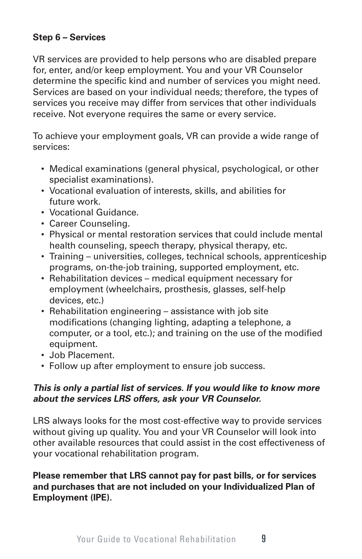## **Step 6 – Services**

VR services are provided to help persons who are disabled prepare for, enter, and/or keep employment. You and your VR Counselor determine the specific kind and number of services you might need. Services are based on your individual needs; therefore, the types of services you receive may differ from services that other individuals receive. Not everyone requires the same or every service.

To achieve your employment goals, VR can provide a wide range of services:

- Medical examinations (general physical, psychological, or other specialist examinations).
- Vocational evaluation of interests, skills, and abilities for future work.
- Vocational Guidance.
- Career Counseling.
- Physical or mental restoration services that could include mental health counseling, speech therapy, physical therapy, etc.
- Training universities, colleges, technical schools, apprenticeship programs, on-the-job training, supported employment, etc.
- Rehabilitation devices medical equipment necessary for employment (wheelchairs, prosthesis, glasses, self-help devices, etc.)
- Rehabilitation engineering assistance with job site modifications (changing lighting, adapting a telephone, a computer, or a tool, etc.); and training on the use of the modified equipment.
- Job Placement.
- Follow up after employment to ensure job success.

#### **This is only a partial list of services. If you would like to know more about the services LRS offers, ask your VR Counselor.**

LRS always looks for the most cost-effective way to provide services without giving up quality. You and your VR Counselor will look into other available resources that could assist in the cost effectiveness of your vocational rehabilitation program.

## **Please remember that LRS cannot pay for past bills, or for services and purchases that are not included on your Individualized Plan of Employment (IPE).**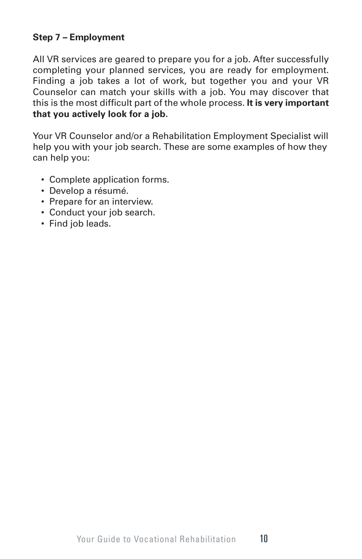# **Step 7 – Employment**

All VR services are geared to prepare you for a job. After successfully completing your planned services, you are ready for employment. Finding a job takes a lot of work, but together you and your VR Counselor can match your skills with a job. You may discover that this is the most difficult part of the whole process. **It is very important that you actively look for a job.**

Your VR Counselor and/or a Rehabilitation Employment Specialist will help you with your job search. These are some examples of how they can help you:

- Complete application forms.
- Develop a résumé.
- Prepare for an interview.
- Conduct your job search.
- Find job leads.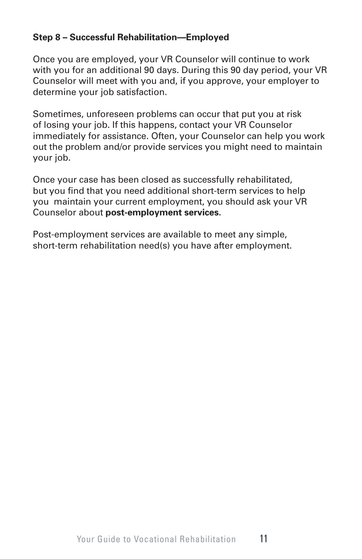# **Step 8 – Successful Rehabilitation—Employed**

Once you are employed, your VR Counselor will continue to work with you for an additional 90 days. During this 90 day period, your VR Counselor will meet with you and, if you approve, your employer to determine your job satisfaction.

Sometimes, unforeseen problems can occur that put you at risk of losing your job. If this happens, contact your VR Counselor immediately for assistance. Often, your Counselor can help you work out the problem and/or provide services you might need to maintain your job.

Once your case has been closed as successfully rehabilitated, but you find that you need additional short-term services to help you maintain your current employment, you should ask your VR Counselor about **post-employment services.**

Post-employment services are available to meet any simple, short-term rehabilitation need(s) you have after employment.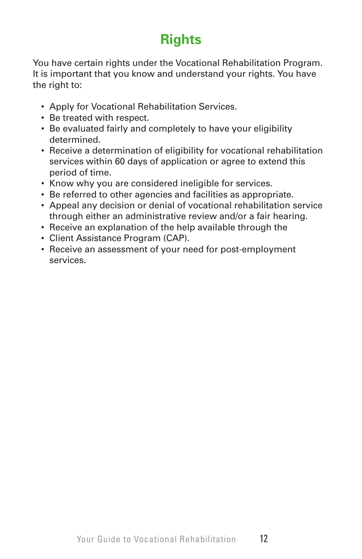# **Rights**

You have certain rights under the Vocational Rehabilitation Program. It is important that you know and understand your rights. You have the right to:

- Apply for Vocational Rehabilitation Services.
- Be treated with respect.
- Be evaluated fairly and completely to have your eligibility determined.
- Receive a determination of eligibility for vocational rehabilitation services within 60 days of application or agree to extend this period of time.
- Know why you are considered ineligible for services.
- Be referred to other agencies and facilities as appropriate.
- Appeal any decision or denial of vocational rehabilitation service through either an administrative review and/or a fair hearing.
- Receive an explanation of the help available through the
- Client Assistance Program (CAP).
- Receive an assessment of your need for post-employment services.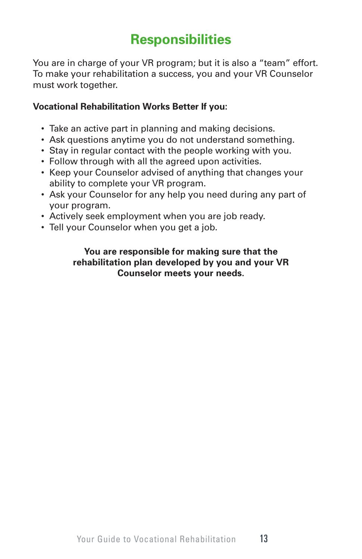# **Responsibilities**

You are in charge of your VR program; but it is also a "team" effort. To make your rehabilitation a success, you and your VR Counselor must work together.

## **Vocational Rehabilitation Works Better If you:**

- Take an active part in planning and making decisions.
- Ask questions anytime you do not understand something.
- Stay in regular contact with the people working with you.
- Follow through with all the agreed upon activities.
- Keep your Counselor advised of anything that changes your ability to complete your VR program.
- Ask your Counselor for any help you need during any part of your program.
- Actively seek employment when you are job ready.
- Tell your Counselor when you get a job.

## **You are responsible for making sure that the rehabilitation plan developed by you and your VR Counselor meets your needs.**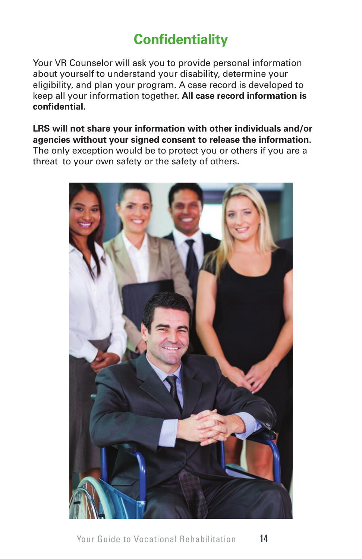# **Confidentiality**

Your VR Counselor will ask you to provide personal information about yourself to understand your disability, determine your eligibility, and plan your program. A case record is developed to keep all your information together. **All case record information is confidential.**

**LRS will not share your information with other individuals and/or agencies without your signed consent to release the information.**  The only exception would be to protect you or others if you are a threat to your own safety or the safety of others.

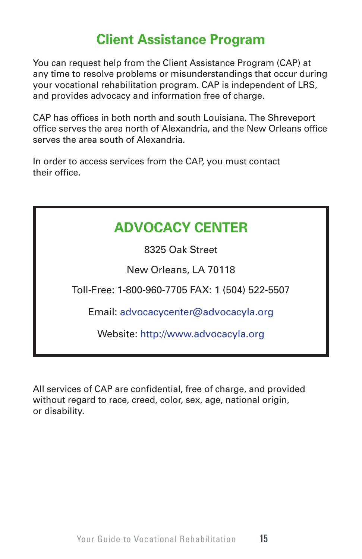# **Client Assistance Program**

You can request help from the Client Assistance Program (CAP) at any time to resolve problems or misunderstandings that occur during your vocational rehabilitation program. CAP is independent of LRS, and provides advocacy and information free of charge.

CAP has offices in both north and south Louisiana. The Shreveport office serves the area north of Alexandria, and the New Orleans office serves the area south of Alexandria.

In order to access services from the CAP, you must contact their office.

# **ADVOCACY CENTER**

8325 Oak Street

New Orleans, LA 70118

Toll-Free: 1-800-960-7705 FAX: 1 (504) 522-5507

Email: advocacycenter@advocacyla.org

Website: http://www.advocacyla.org

All services of CAP are confidential, free of charge, and provided without regard to race, creed, color, sex, age, national origin, or disability.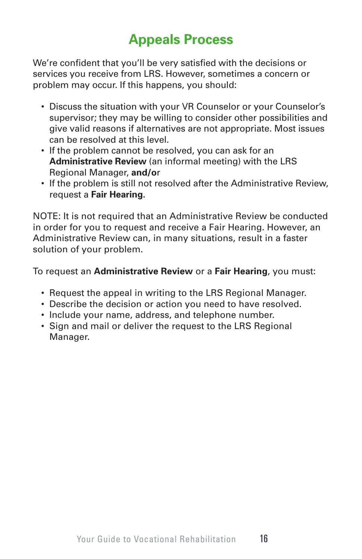# **Appeals Process**

We're confident that you'll be very satisfied with the decisions or services you receive from LRS. However, sometimes a concern or problem may occur. If this happens, you should:

- Discuss the situation with your VR Counselor or your Counselor's supervisor; they may be willing to consider other possibilities and give valid reasons if alternatives are not appropriate. Most issues can be resolved at this level.
- If the problem cannot be resolved, you can ask for an **Administrative Review** (an informal meeting) with the LRS Regional Manager, **and/o**r
- If the problem is still not resolved after the Administrative Review, request a **Fair Hearing.**

NOTE: It is not required that an Administrative Review be conducted in order for you to request and receive a Fair Hearing. However, an Administrative Review can, in many situations, result in a faster solution of your problem.

To request an **Administrative Review** or a **Fair Hearing**, you must:

- Request the appeal in writing to the LRS Regional Manager.
- Describe the decision or action you need to have resolved.
- Include your name, address, and telephone number.
- Sign and mail or deliver the request to the LRS Regional Manager.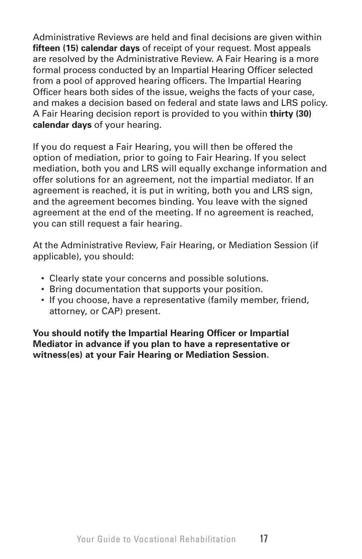Administrative Reviews are held and final decisions are given within **fifteen (15) calendar days** of receipt of your request. Most appeals are resolved by the Administrative Review. A Fair Hearing is a more formal process conducted by an Impartial Hearing Officer selected from a pool of approved hearing officers. The Impartial Hearing Officer hears both sides of the issue, weighs the facts of your case, and makes a decision based on federal and state laws and LRS policy. A Fair Hearing decision report is provided to you within **thirty (30) calendar days** of your hearing.

If you do request a Fair Hearing, you will then be offered the option of mediation, prior to going to Fair Hearing. If you select mediation, both you and LRS will equally exchange information and offer solutions for an agreement, not the impartial mediator. If an agreement is reached, it is put in writing, both you and LRS sign, and the agreement becomes binding. You leave with the signed agreement at the end of the meeting. If no agreement is reached, you can still request a fair hearing.

At the Administrative Review, Fair Hearing, or Mediation Session (if applicable), you should:

- Clearly state your concerns and possible solutions.
- Bring documentation that supports your position.
- If you choose, have a representative (family member, friend, attorney, or CAP) present.

**You should notify the Impartial Hearing Officer or Impartial Mediator in advance if you plan to have a representative or witness(es) at your Fair Hearing or Mediation Session.**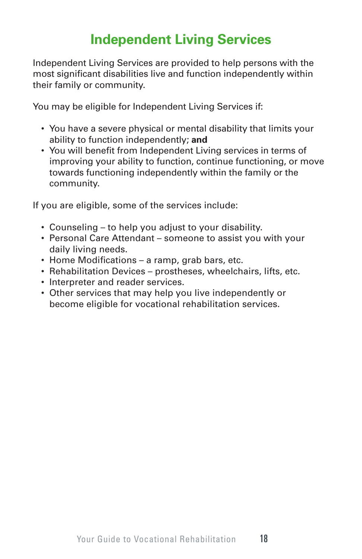# **Independent Living Services**

Independent Living Services are provided to help persons with the most significant disabilities live and function independently within their family or community.

You may be eligible for Independent Living Services if:

- You have a severe physical or mental disability that limits your ability to function independently; **and**
- You will benefit from Independent Living services in terms of improving your ability to function, continue functioning, or move towards functioning independently within the family or the community.

If you are eligible, some of the services include:

- Counseling to help you adjust to your disability.
- Personal Care Attendant someone to assist you with your daily living needs.
- Home Modifications a ramp, grab bars, etc.
- Rehabilitation Devices prostheses, wheelchairs, lifts, etc.
- Interpreter and reader services.
- Other services that may help you live independently or become eligible for vocational rehabilitation services.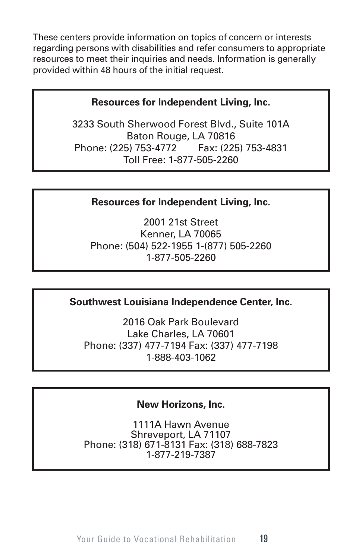These centers provide information on topics of concern or interests regarding persons with disabilities and refer consumers to appropriate resources to meet their inquiries and needs. Information is generally provided within 48 hours of the initial request.

# **Resources for Independent Living, Inc.**

3233 South Sherwood Forest Blvd., Suite 101A Baton Rouge, LA 70816 Phone: (225) 753-4772 Fax: (225) 753-4831 Toll Free: 1-877-505-2260

# **Resources for Independent Living, Inc.**

2001 21st Street Kenner, LA 70065 Phone: (504) 522-1955 1-(877) 505-2260 1-877-505-2260

# **Southwest Louisiana Independence Center, Inc.**

2016 Oak Park Boulevard Lake Charles, LA 70601 Phone: (337) 477-7194 Fax: (337) 477-7198 1-888-403-1062

# **New Horizons, Inc.**

1111A Hawn Avenue Shreveport, LA 71107 Phone: (318) 671-8131 Fax: (318) 688-7823 1-877-219-7387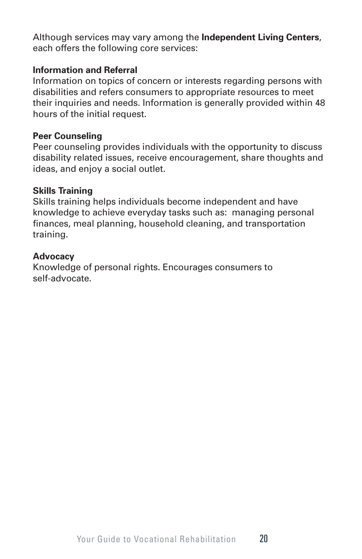Although services may vary among the **Independent Living Centers**, each offers the following core services:

## **Information and Referral**

Information on topics of concern or interests regarding persons with disabilities and refers consumers to appropriate resources to meet their inquiries and needs. Information is generally provided within 48 hours of the initial request.

## **Peer Counseling**

Peer counseling provides individuals with the opportunity to discuss disability related issues, receive encouragement, share thoughts and ideas, and enjoy a social outlet.

## **Skills Training**

Skills training helps individuals become independent and have knowledge to achieve everyday tasks such as: managing personal finances, meal planning, household cleaning, and transportation training.

## **Advocacy**

Knowledge of personal rights. Encourages consumers to self-advocate.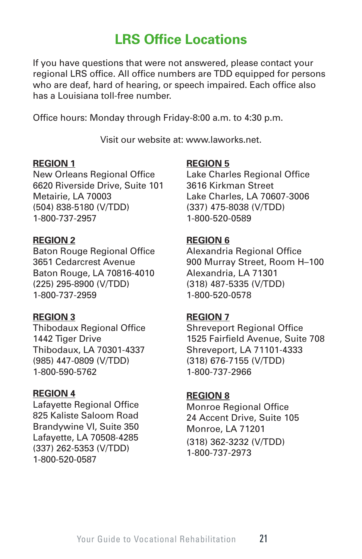# **LRS Office Locations**

If you have questions that were not answered, please contact your regional LRS office. All office numbers are TDD equipped for persons who are deaf, hard of hearing, or speech impaired. Each office also has a Louisiana toll-free number.

Office hours: Monday through Friday-8:00 a.m. to 4:30 p.m.

Visit our website at: www.laworks.net.

#### **REGION 1**

New Orleans Regional Office 6620 Riverside Drive, Suite 101 Metairie, LA 70003 (504) 838-5180 (V/TDD) 1-800-737-2957

#### **REGION 2**

Baton Rouge Regional Office 3651 Cedarcrest Avenue Baton Rouge, LA 70816-4010 (225) 295-8900 (V/TDD) 1-800-737-2959

#### **REGION 3**

Thibodaux Regional Office 1442 Tiger Drive Thibodaux, LA 70301-4337 (985) 447-0809 (V/TDD) 1-800-590-5762

#### **REGION 4**

Lafayette Regional Office 825 Kaliste Saloom Road Brandywine VI, Suite 350 Lafayette, LA 70508-4285 (337) 262-5353 (V/TDD) 1-800-520-0587

#### **REGION 5**

Lake Charles Regional Office 3616 Kirkman Street Lake Charles, LA 70607-3006 (337) 475-8038 (V/TDD) 1-800-520-0589

#### **REGION 6**

Alexandria Regional Office 900 Murray Street, Room H–100 Alexandria, LA 71301 (318) 487-5335 (V/TDD) 1-800-520-0578

#### **REGION 7**

Shreveport Regional Office 1525 Fairfield Avenue, Suite 708 Shreveport, LA 71101-4333 (318) 676-7155 (V/TDD) 1-800-737-2966

#### **REGION 8**

Monroe Regional Office 24 Accent Drive, Suite 105 Monroe, LA 71201 (318) 362-3232 (V/TDD) 1-800-737-2973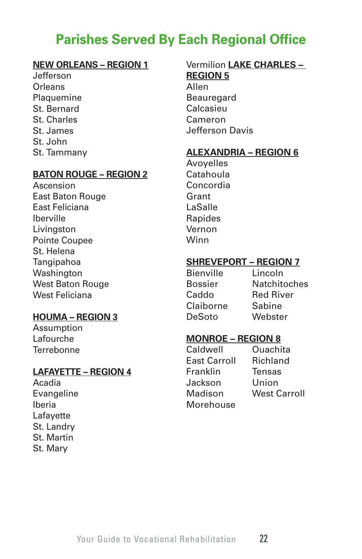# **Parishes Served By Each Regional Office**

## **NEW ORLEANS – REGION 1**

Jefferson **Orleans Plaquemine** St. Bernard St. Charles St. James St. John St. Tammany

#### **BATON ROUGE – REGION 2**

Ascension East Baton Rouge East Feliciana Iberville Livingston Pointe Coupee St. Helena **Tangipahoa** Washington West Baton Rouge West Feliciana

#### **HOUMA – REGION 3**

Assumption Lafourche **Terrebonne** 

#### **LAFAYETTE – REGION 4**

Acadia Evangeline Iberia Lafayette St. Landry St. Martin St. Mary

# Vermilion **LAKE CHARLES – REGION 5**

Allen **Beauregard** Calcasieu Cameron Jefferson Davis

#### **ALEXANDRIA – REGION 6**

Avoyelles Catahoula Concordia Grant LaSalle Rapides Vernon Winn

#### **SHREVEPORT – REGION 7**

Bienville Lincoln Caddo Red River Claiborne Sabine DeSoto Webster

Bossier Natchitoches

#### **MONROE – REGION 8**

Caldwell Ouachita East Carroll Richland Franklin Tensas Jackson Union Madison West Carroll Morehouse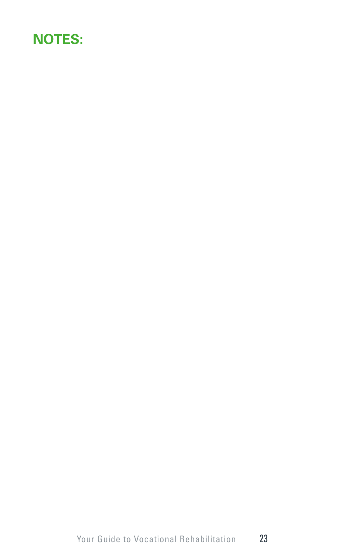# **NOTES:**